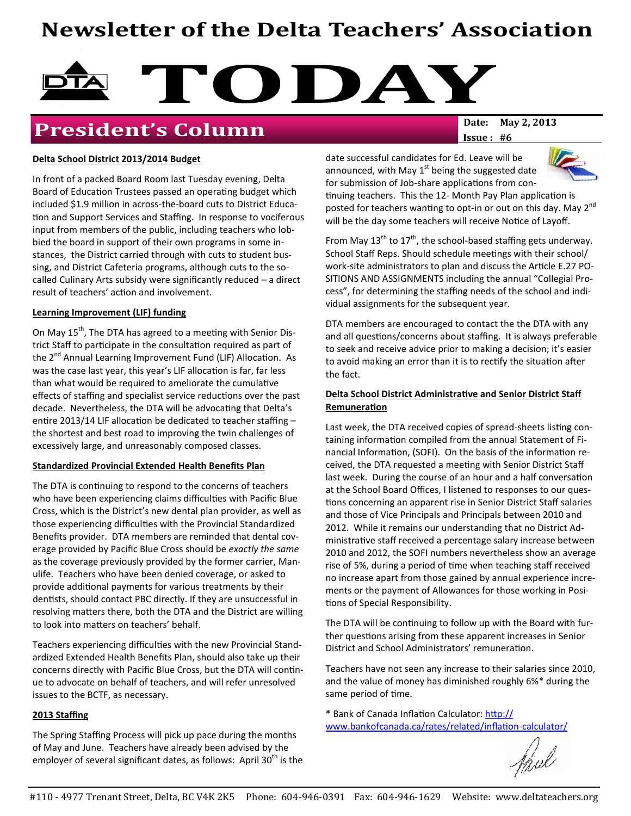# Newsletter of the Delta Teachers' Association



# **President's Column** Date: May 2, 2013

 $Issue: #6$ 

#### Delta School District 2013/2014 Budget

In front of a packed Board Room last Tuesday evening, Delta Board of Education Trustees passed an operating budget which included \$1.9 million in across-the-board cuts to District Educa tion and Support Services and Staffing. In response to vociferous input from members of the public, including teachers who lobbied the board in support of their own programs in some instances, the District carried through with cuts to student bussing, and District Cafeteria programs, although cuts to the socalled Culinary Arts subsidy were significantly reduced – a direct result of teachers' action and involvement.

#### Learning Improvement (LIF) funding

On May 15<sup>th</sup>, The DTA has agreed to a meeting with Senior District Staff to participate in the consultation required as part of the 2<sup>nd</sup> Annual Learning Improvement Fund (LIF) Allocation. As was the case last year, this year's LIF allocation is far, far less than what would be required to ameliorate the cumulative effects of staffing and specialist service reductions over the past decade. Nevertheless, the DTA will be advocating that Delta's entire 2013/14 LIF allocation be dedicated to teacher staffing  $$ the shortest and best road to improving the twin challenges of excessively large, and unreasonably composed classes.

#### Standardized Provincial Extended Health Benefits Plan

The DTA is continuing to respond to the concerns of teachers who have been experiencing claims difficulties with Pacific Blue Cross, which is the District's new dental plan provider, as well as those experiencing difficulties with the Provincial Standardized Benefits provider. DTA members are reminded that dental coverage provided by Pacific Blue Cross should be exactly the same as the coverage previously provided by the former carrier, Manulife. Teachers who have been denied coverage, or asked to provide additional payments for various treatments by their dentists, should contact PBC directly. If they are unsuccessful in resolving matters there, both the DTA and the District are willing to look into matters on teachers' behalf.

Teachers experiencing difficulties with the new Provincial Standardized Extended Health Benefits Plan, should also take up their concerns directly with Pacific Blue Cross, but the DTA will continue to advocate on behalf of teachers, and will refer unresolved issues to the BCTF, as necessary.

#### 2013 Staffing

The Spring Staffing Process will pick up pace during the months of May and June. Teachers have already been advised by the employer of several significant dates, as follows: April  $30<sup>th</sup>$  is the date successful candidates for Ed. Leave will be announced, with May  $1<sup>st</sup>$  being the suggested date for submission of Job-share applications from con-



tinuing teachers. This the 12- Month Pay Plan application is posted for teachers wanting to opt-in or out on this day. May 2<sup>nd</sup> will be the day some teachers will receive Notice of Layoff.

From May  $13^{th}$  to  $17^{th}$ , the school-based staffing gets underway. School Staff Reps. Should schedule meetings with their school/ work-site administrators to plan and discuss the Article E.27 PO-SITIONS AND ASSIGNMENTS including the annual "Collegial Process", for determining the staffing needs of the school and individual assignments for the subsequent year.

DTA members are encouraged to contact the the DTA with any and all questions/concerns about staffing. It is always preferable to seek and receive advice prior to making a decision; it's easier to avoid making an error than it is to rectify the situation after the fact.

#### Delta School District Administrative and Senior District Staff **Remuneration**

Last week, the DTA received copies of spread-sheets listing containing information compiled from the annual Statement of Financial Information, (SOFI). On the basis of the information received, the DTA requested a meeting with Senior District Staff last week. During the course of an hour and a half conversation at the School Board Offices, I listened to responses to our ques tions concerning an apparent rise in Senior District Staff salaries and those of Vice Principals and Principals between 2010 and 2012. While it remains our understanding that no District Administrative staff received a percentage salary increase between 2010 and 2012, the SOFI numbers nevertheless show an average rise of 5%, during a period of time when teaching staff received no increase apart from those gained by annual experience increments or the payment of Allowances for those working in Posi tions of Special Responsibility.

The DTA will be continuing to follow up with the Board with further questions arising from these apparent increases in Senior District and School Administrators' remuneration.

Teachers have not seen any increase to their salaries since 2010, and the value of money has diminished roughly 6%\* during the same period of time.

\* Bank of Canada Inflation Calculator: http:// www.bankofcanada.ca/rates/related/inflation-calculator/

thul